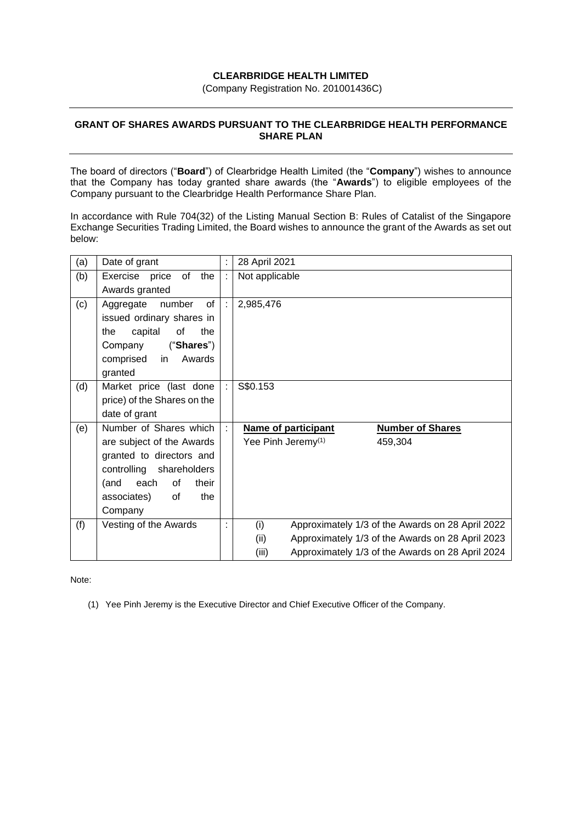## **CLEARBRIDGE HEALTH LIMITED**

(Company Registration No. 201001436C)

## **GRANT OF SHARES AWARDS PURSUANT TO THE CLEARBRIDGE HEALTH PERFORMANCE SHARE PLAN**

The board of directors ("**Board**") of Clearbridge Health Limited (the "**Company**") wishes to announce that the Company has today granted share awards (the "**Awards**") to eligible employees of the Company pursuant to the Clearbridge Health Performance Share Plan.

In accordance with Rule 704(32) of the Listing Manual Section B: Rules of Catalist of the Singapore Exchange Securities Trading Limited, the Board wishes to announce the grant of the Awards as set out below:

| (a) | Date of grant                  |                    | 28 April 2021                                           |                                                  |
|-----|--------------------------------|--------------------|---------------------------------------------------------|--------------------------------------------------|
| (b) | of<br>the<br>Exercise<br>price | ÷                  | Not applicable                                          |                                                  |
|     | Awards granted                 |                    |                                                         |                                                  |
| (c) | of<br>Aggregate number         | $\dot{\mathbf{r}}$ | 2,985,476                                               |                                                  |
|     | issued ordinary shares in      |                    |                                                         |                                                  |
|     | capital<br>of<br>the<br>the    |                    |                                                         |                                                  |
|     | ("Shares")<br>Company          |                    |                                                         |                                                  |
|     | Awards<br>comprised in         |                    |                                                         |                                                  |
|     | granted                        |                    |                                                         |                                                  |
| (d) | Market price (last done        |                    | S\$0.153                                                |                                                  |
|     | price) of the Shares on the    |                    |                                                         |                                                  |
|     | date of grant                  |                    |                                                         |                                                  |
| (e) | Number of Shares which         |                    | Name of participant                                     | <b>Number of Shares</b>                          |
|     | are subject of the Awards      |                    | Yee Pinh Jeremy <sup>(1)</sup><br>459,304               |                                                  |
|     | granted to directors and       |                    |                                                         |                                                  |
|     | controlling shareholders       |                    |                                                         |                                                  |
|     | each<br>(and<br>of<br>their    |                    |                                                         |                                                  |
|     | associates)<br>the<br>0f       |                    |                                                         |                                                  |
|     | Company                        |                    |                                                         |                                                  |
| (f) | Vesting of the Awards          |                    | (i)<br>Approximately 1/3 of the Awards on 28 April 2022 |                                                  |
|     |                                |                    | (ii)                                                    | Approximately 1/3 of the Awards on 28 April 2023 |
|     |                                |                    | (iii)                                                   | Approximately 1/3 of the Awards on 28 April 2024 |

Note:

(1) Yee Pinh Jeremy is the Executive Director and Chief Executive Officer of the Company.